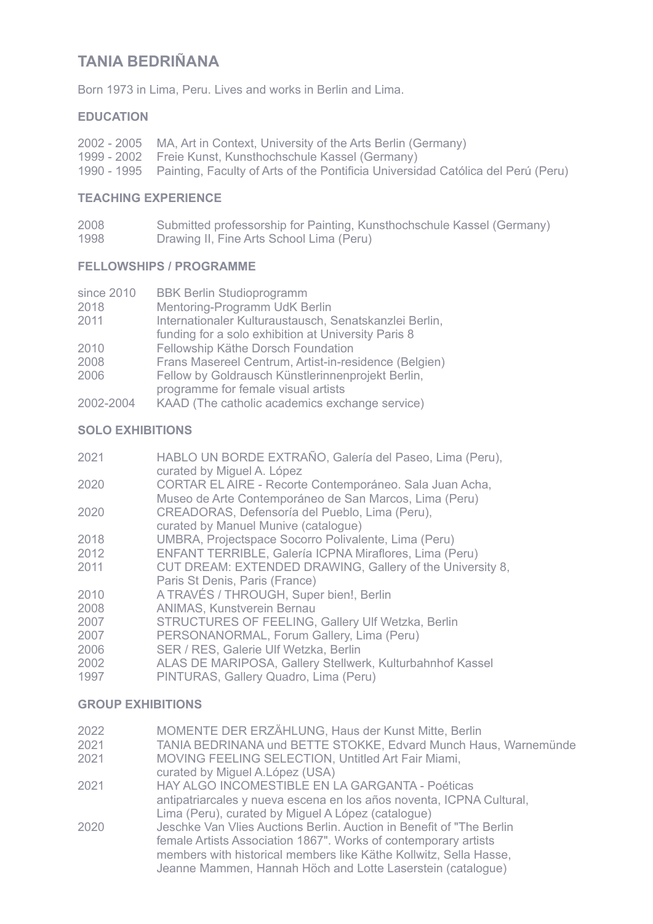# **TANIA BEDRIÑANA**

Born 1973 in Lima, Peru. Lives and works in Berlin and Lima.

# **EDUCATION**

| 2002 - 2005 MA, Art in Context, University of the Arts Berlin (Germany)                      |
|----------------------------------------------------------------------------------------------|
| 1999 - 2002 Freie Kunst, Kunsthochschule Kassel (Germany)                                    |
| 1990 - 1995 Painting, Faculty of Arts of the Pontificia Universidad Católica del Perú (Peru) |

## **TEACHING EXPERIENCE**

| 2008 | Submitted professorship for Painting, Kunsthochschule Kassel (Germany) |  |
|------|------------------------------------------------------------------------|--|
| 1000 | Described H. Fine Ante Celes al Lines (Demi)                           |  |

1998 Drawing II, Fine Arts School Lima (Peru)

## **FELLOWSHIPS / PROGRAMME**

| since 2010 | <b>BBK Berlin Studioprogramm</b>                       |
|------------|--------------------------------------------------------|
| 2018       | Mentoring-Programm UdK Berlin                          |
| 2011       | Internationaler Kulturaustausch, Senatskanzlei Berlin, |
|            | funding for a solo exhibition at University Paris 8    |
| 2010       | Fellowship Käthe Dorsch Foundation                     |
| 2008       | Frans Masereel Centrum, Artist-in-residence (Belgien)  |
| 2006       | Fellow by Goldrausch Künstlerinnenprojekt Berlin,      |
|            | programme for female visual artists                    |
| 2002-2004  | KAAD (The catholic academics exchange service)         |

# **SOLO EXHIBITIONS**

| 2021 | HABLO UN BORDE EXTRAÑO, Galería del Paseo, Lima (Peru),<br>curated by Miguel A. López                             |
|------|-------------------------------------------------------------------------------------------------------------------|
| 2020 | CORTAR EL AIRE - Recorte Contemporáneo. Sala Juan Acha,<br>Museo de Arte Contemporáneo de San Marcos, Lima (Peru) |
| 2020 | CREADORAS, Defensoría del Pueblo, Lima (Peru),<br>curated by Manuel Munive (catalogue)                            |
| 2018 | UMBRA, Projectspace Socorro Polivalente, Lima (Peru)                                                              |
| 2012 | ENFANT TERRIBLE, Galería ICPNA Miraflores, Lima (Peru)                                                            |
| 2011 | CUT DREAM: EXTENDED DRAWING, Gallery of the University 8,<br>Paris St Denis, Paris (France)                       |
| 2010 | A TRAVÉS / THROUGH, Super bien!, Berlin                                                                           |
| 2008 | <b>ANIMAS, Kunstverein Bernau</b>                                                                                 |
| 2007 | <b>STRUCTURES OF FEELING, Gallery Ulf Wetzka, Berlin</b>                                                          |
| 2007 | PERSONANORMAL, Forum Gallery, Lima (Peru)                                                                         |
| 2006 | SER / RES, Galerie Ulf Wetzka, Berlin                                                                             |
| 2002 | ALAS DE MARIPOSA, Gallery Stellwerk, Kulturbahnhof Kassel                                                         |
| 1997 | PINTURAS, Gallery Quadro, Lima (Peru)                                                                             |

# **GROUP EXHIBITIONS**

| 2022 | MOMENTE DER ERZÄHLUNG, Haus der Kunst Mitte, Berlin                  |
|------|----------------------------------------------------------------------|
| 2021 | TANIA BEDRINANA und BETTE STOKKE, Edvard Munch Haus, Warnemünde      |
| 2021 | MOVING FEELING SELECTION, Untitled Art Fair Miami,                   |
|      | curated by Miguel A. López (USA)                                     |
| 2021 | HAY ALGO INCOMESTIBLE EN LA GARGANTA - Poéticas                      |
|      | antipatriarcales y nueva escena en los años noventa, ICPNA Cultural, |
|      | Lima (Peru), curated by Miguel A López (catalogue)                   |
| 2020 | Jeschke Van Vlies Auctions Berlin. Auction in Benefit of "The Berlin |
|      | female Artists Association 1867". Works of contemporary artists      |
|      | members with historical members like Käthe Kollwitz, Sella Hasse,    |
|      | Jeanne Mammen, Hannah Höch and Lotte Laserstein (catalogue)          |